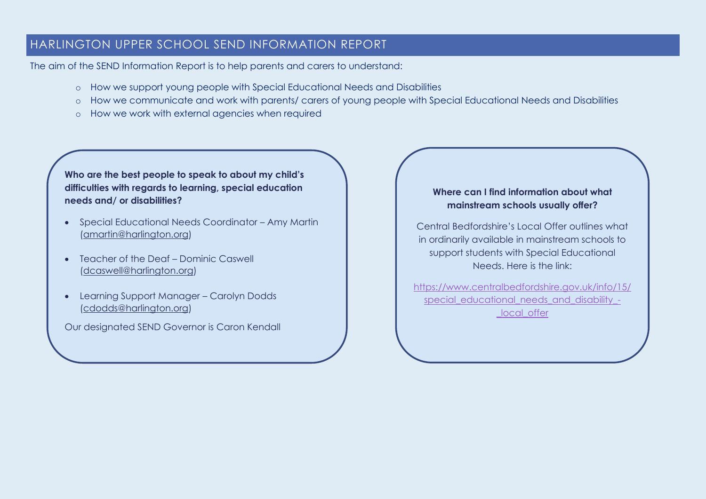# HARLINGTON UPPER SCHOOL SEND INFORMATION REPORT

The aim of the SEND Information Report is to help parents and carers to understand:

- o How we support young people with Special Educational Needs and Disabilities
- o How we communicate and work with parents/ carers of young people with Special Educational Needs and Disabilities
- o How we work with external agencies when required

**Who are the best people to speak to about my child's difficulties with regards to learning, special education needs and/ or disabilities?**

- Special Educational Needs Coordinator Amy Martin [\(amartin@harlington.org\)](mailto:amartin@harlington.org)
- Teacher of the Deaf Dominic Caswell [\(dcaswell@harlington.org\)](mailto:dcaswell@harlington.org)
- Learning Support Manager Carolyn Dodds [\(cdodds@harlington.org\)](mailto:cdodds@harlington.org)

Our designated SEND Governor is Caron Kendall

## **Where can I find information about what mainstream schools usually offer?**

Central Bedfordshire's Local Offer outlines what in ordinarily available in mainstream schools to support students with Special Educational Needs. Here is the link:

[https://www.centralbedfordshire.gov.uk/info/15/](https://www.centralbedfordshire.gov.uk/info/15/special_educational_needs_and_disability_-_local_offer) [special\\_educational\\_needs\\_and\\_disability\\_-](https://www.centralbedfordshire.gov.uk/info/15/special_educational_needs_and_disability_-_local_offer) [\\_local\\_offer](https://www.centralbedfordshire.gov.uk/info/15/special_educational_needs_and_disability_-_local_offer)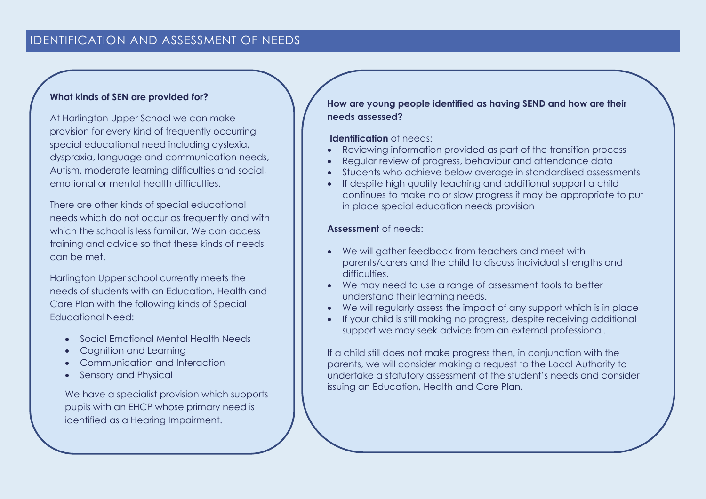## IDENTIFICATION AND ASSESSMENT OF NEEDS

#### **What kinds of SEN are provided for?**

At Harlington Upper School we can make provision for every kind of frequently occurring special educational need including dyslexia, dyspraxia, language and communication needs, Autism, moderate learning difficulties and social, emotional or mental health difficulties.

There are other kinds of special educational needs which do not occur as frequently and with which the school is less familiar. We can access training and advice so that these kinds of needs can be met.

Harlington Upper school currently meets the needs of students with an Education, Health and Care Plan with the following kinds of Special Educational Need:

- Social Emotional Mental Health Needs
- Cognition and Learning
- Communication and Interaction
- Sensory and Physical

We have a specialist provision which supports pupils with an EHCP whose primary need is identified as a Hearing Impairment.

**How are young people identified as having SEND and how are their needs assessed?** 

#### **Identification** of needs:

- Reviewing information provided as part of the transition process
- Regular review of progress, behaviour and attendance data
- Students who achieve below average in standardised assessments
- If despite high quality teaching and additional support a child continues to make no or slow progress it may be appropriate to put in place special education needs provision

#### **Assessment** of needs:

- We will gather feedback from teachers and meet with parents/carers and the child to discuss individual strengths and difficulties
- We may need to use a range of assessment tools to better understand their learning needs.
- We will regularly assess the impact of any support which is in place
- If your child is still making no progress, despite receiving additional support we may seek advice from an external professional.

If a child still does not make progress then, in conjunction with the parents, we will consider making a request to the Local Authority to undertake a statutory assessment of the student's needs and consider issuing an Education, Health and Care Plan.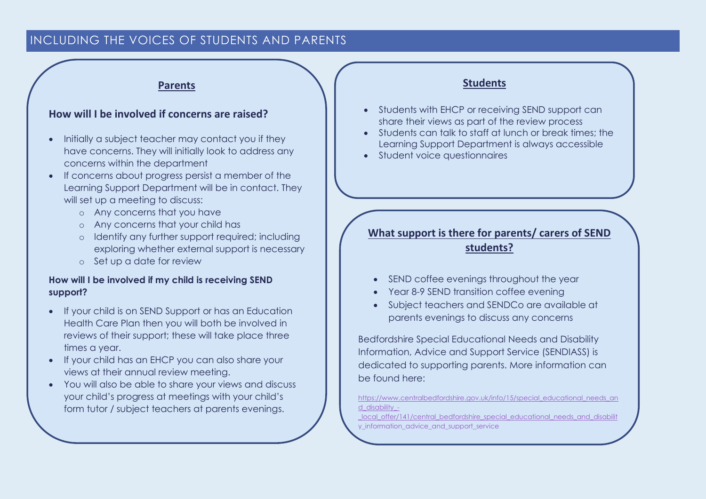## INCLUDING THE VOICES OF STUDENTS AND PARENTS

### **Parents**

## **How will I be involved if concerns are raised?**

- Initially a subject teacher may contact you if they have concerns. They will initially look to address any concerns within the department
- If concerns about progress persist a member of the Learning Support Department will be in contact. They will set up a meeting to discuss:
	- o Any concerns that you have
	- o Any concerns that your child has
	- o Identify any further support required; including exploring whether external support is necessary
	- o Set up a date for review

### **How will I be involved if my child is receiving SEND support?**

- If your child is on SEND Support or has an Education Health Care Plan then you will both be involved in reviews of their support; these will take place three times a year.
- If your child has an EHCP you can also share your views at their annual review meeting.
- You will also be able to share your views and discuss your child's progress at meetings with your child's form tutor / subject teachers at parents evenings.

### **Students**

- Students with EHCP or receiving SEND support can share their views as part of the review process
- Students can talk to staff at lunch or break times; the Learning Support Department is always accessible
- Student voice questionnaires

# **What support is there for parents/ carers of SEND students?**

- SEND coffee evenings throughout the year
- Year 8-9 SEND transition coffee evening
- Subject teachers and SENDCo are available at parents evenings to discuss any concerns

Bedfordshire Special Educational Needs and Disability Information, Advice and Support Service (SENDIASS) is dedicated to supporting parents. More information can be found here:

[https://www.centralbedfordshire.gov.uk/info/15/special\\_educational\\_needs\\_an](https://www.centralbedfordshire.gov.uk/info/15/special_educational_needs_and_disability_-_local_offer/141/central_bedfordshire_special_educational_needs_and_disability_information_advice_and_support_service) [d\\_disability\\_-](https://www.centralbedfordshire.gov.uk/info/15/special_educational_needs_and_disability_-_local_offer/141/central_bedfordshire_special_educational_needs_and_disability_information_advice_and_support_service)

[\\_local\\_offer/141/central\\_bedfordshire\\_special\\_educational\\_needs\\_and\\_disabilit](https://www.centralbedfordshire.gov.uk/info/15/special_educational_needs_and_disability_-_local_offer/141/central_bedfordshire_special_educational_needs_and_disability_information_advice_and_support_service) [y\\_information\\_advice\\_and\\_support\\_service](https://www.centralbedfordshire.gov.uk/info/15/special_educational_needs_and_disability_-_local_offer/141/central_bedfordshire_special_educational_needs_and_disability_information_advice_and_support_service)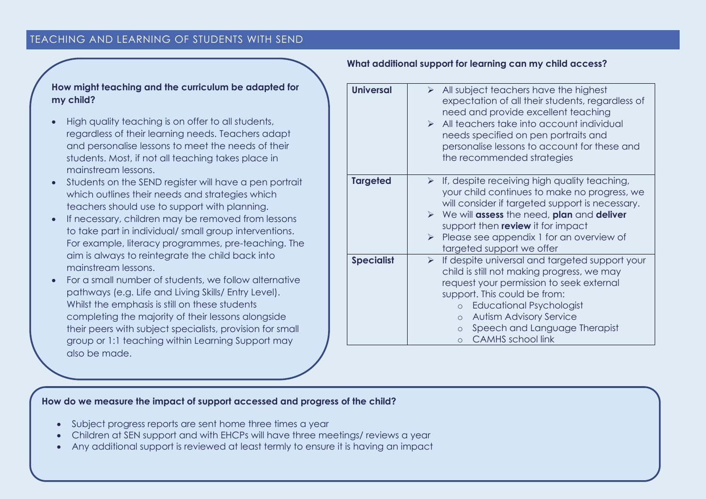## TEACHING AND LEARNING OF STUDENTS WITH SEND

### **How might teaching and the curriculum be adapted for my child?**

- High quality teaching is on offer to all students, regardless of their learning needs. Teachers adapt and personalise lessons to meet the needs of their students. Most, if not all teaching takes place in mainstream lessons.
- Students on the SEND register will have a pen portrait which outlines their needs and strategies which teachers should use to support with planning.
- If necessary, children may be removed from lessons to take part in individual/ small group interventions. For example, literacy programmes, pre-teaching. The aim is always to reintegrate the child back into mainstream lessons.
- For a small number of students, we follow alternative pathways (e.g. Life and Living Skills/ Entry Level). Whilst the emphasis is still on these students completing the majority of their lessons alongside their peers with subject specialists, provision for small group or 1:1 teaching within Learning Support may also be made.

#### **What additional support for learning can my child access?**

| <b>Universal</b>  | $\triangleright$ All subject teachers have the highest             |
|-------------------|--------------------------------------------------------------------|
|                   | expectation of all their students, regardless of                   |
|                   | need and provide excellent teaching                                |
|                   | $\triangleright$ All teachers take into account individual         |
|                   | needs specified on pen portraits and                               |
|                   | personalise lessons to account for these and                       |
|                   | the recommended strategies                                         |
| <b>Targeted</b>   | $\triangleright$ If, despite receiving high quality teaching,      |
|                   | your child continues to make no progress, we                       |
|                   | will consider if targeted support is necessary.                    |
|                   | $\triangleright$ We will assess the need, plan and deliver         |
|                   | support then review it for impact                                  |
|                   | Please see appendix 1 for an overview of<br>$\blacktriangleright$  |
|                   | targeted support we offer                                          |
| <b>Specialist</b> | If despite universal and targeted support your<br>$\triangleright$ |
|                   | child is still not making progress, we may                         |
|                   | request your permission to seek external                           |
|                   | support. This could be from:                                       |
|                   | <b>Educational Psychologist</b><br>$\circ$                         |
|                   | <b>Autism Advisory Service</b><br>$\circ$                          |
|                   | Speech and Language Therapist<br>$\circ$                           |
|                   | <b>CAMHS</b> school link<br>$\Omega$                               |

#### **How do we measure the impact of support accessed and progress of the child?**

- Subject progress reports are sent home three times a year
- Children at SEN support and with EHCPs will have three meetings/ reviews a year
- Any additional support is reviewed at least termly to ensure it is having an impact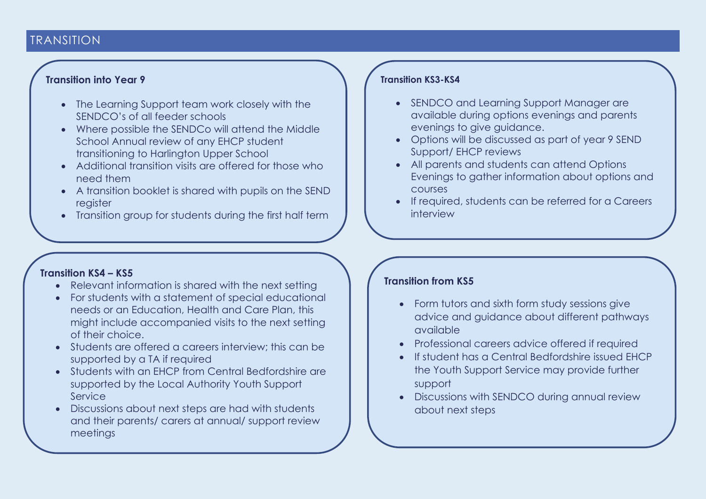# TRANSITION

## **Transition into Year 9**

- The Learning Support team work closely with the SENDCO's of all feeder schools
- Where possible the SENDCo will attend the Middle School Annual review of any EHCP student transitioning to Harlington Upper School
- Additional transition visits are offered for those who need them
- A transition booklet is shared with pupils on the SEND register
- Transition group for students during the first half term

## **Transition KS4 – KS5**

- Relevant information is shared with the next setting
- For students with a statement of special educational needs or an Education, Health and Care Plan, this might include accompanied visits to the next setting of their choice.
- Students are offered a careers interview; this can be supported by a TA if required
- Students with an EHCP from Central Bedfordshire are supported by the Local Authority Youth Support Service
- Discussions about next steps are had with students and their parents/ carers at annual/ support review meetings

## **Transition KS3-KS4**

- SENDCO and Learning Support Manager are available during options evenings and parents evenings to give guidance.
- Options will be discussed as part of year 9 SEND Support/ EHCP reviews
- All parents and students can attend Options Evenings to gather information about options and courses
- If required, students can be referred for a Careers interview

## **Transition from KS5**

- Form tutors and sixth form study sessions give advice and guidance about different pathways available
- Professional careers advice offered if required
- If student has a Central Bedfordshire issued EHCP the Youth Support Service may provide further support
- Discussions with SENDCO during annual review about next steps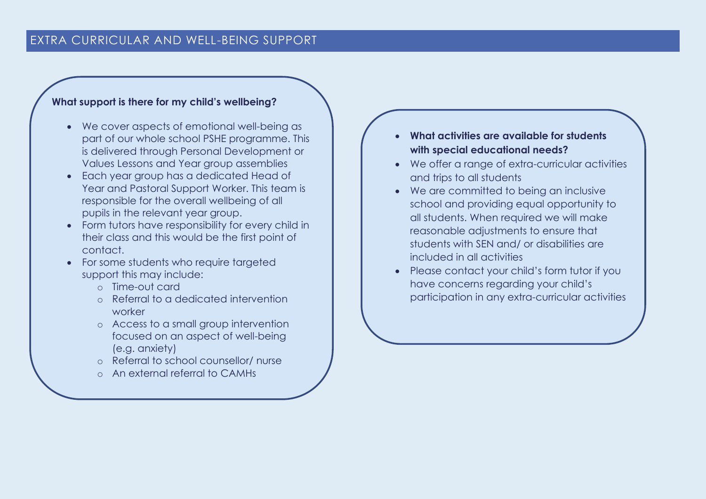# **What support is there for my child's wellbeing?**

- We cover aspects of emotional well-being as part of our whole school PSHE programme. This is delivered through Personal Development or Values Lessons and Year group assemblies
- Each year group has a dedicated Head of Year and Pastoral Support Worker. This team is responsible for the overall wellbeing of all pupils in the relevant year group.
- Form tutors have responsibility for every child in their class and this would be the first point of contact.
- For some students who require targeted support this may include:
	- o Time-out card
	- o Referral to a dedicated intervention worker
	- o Access to a small group intervention focused on an aspect of well-being (e.g. anxiety)
	- o Referral to school counsellor/ nurse
	- o An external referral to CAMHs
- **What activities are available for students with special educational needs?**
- We offer a range of extra-curricular activities and trips to all students
- We are committed to being an inclusive school and providing equal opportunity to all students. When required we will make reasonable adjustments to ensure that students with SEN and/ or disabilities are included in all activities
- Please contact your child's form tutor if you have concerns regarding your child's participation in any extra-curricular activities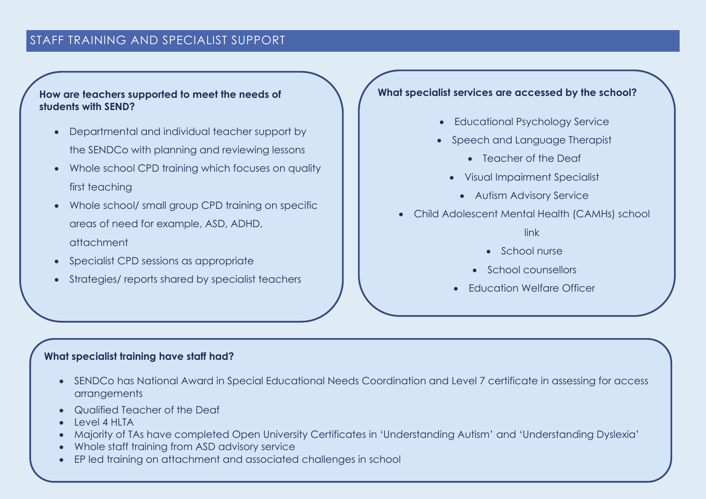# STAFF TRAINING AND SPECIALIST SUPPORT

## **How are teachers supported to meet the needs of students with SEND?**

- Departmental and individual teacher support by the SENDCo with planning and reviewing lessons
- Whole school CPD training which focuses on quality first teaching
- Whole school/ small group CPD training on specific areas of need for example, ASD, ADHD, attachment
- Specialist CPD sessions as appropriate
- Strategies/ reports shared by specialist teachers

## **What specialist services are accessed by the school?**

- Educational Psychology Service
- Speech and Language Therapist
	- Teacher of the Deaf
	- Visual Impairment Specialist
		- Autism Advisory Service
- Child Adolescent Mental Health (CAMHs) school

link

- School nurse
- School counsellors
- Education Welfare Officer

## **What specialist training have staff had?**

- SENDCo has National Award in Special Educational Needs Coordination and Level 7 certificate in assessing for access arrangements
- Qualified Teacher of the Deaf
- Level 4 HLTA
- Majority of TAs have completed Open University Certificates in 'Understanding Autism' and 'Understanding Dyslexia'
- Whole staff training from ASD advisory service
- EP led training on attachment and associated challenges in school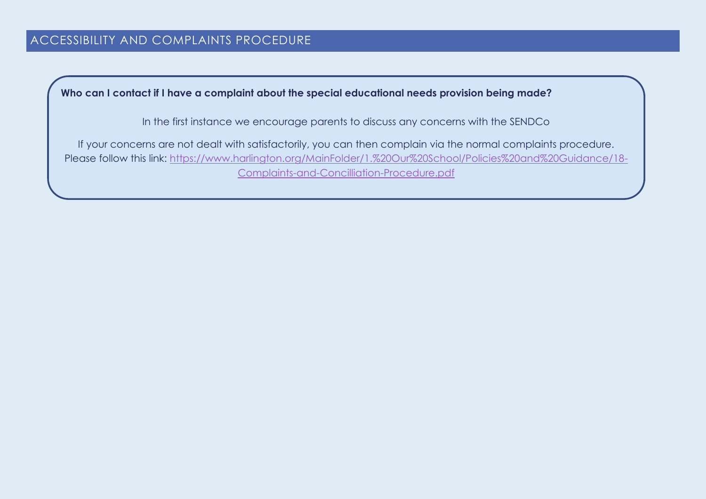**Who can I contact if I have a complaint about the special educational needs provision being made?**

In the first instance we encourage parents to discuss any concerns with the SENDCo

If your concerns are not dealt with satisfactorily, you can then complain via the normal complaints procedure. Please follow this link: [https://www.harlington.org/MainFolder/1.%20Our%20School/Policies%20and%20Guidance/18-](https://www.harlington.org/MainFolder/1.%20Our%20School/Policies%20and%20Guidance/18-Complaints-and-Concilliation-Procedure.pdf) [Complaints-and-Concilliation-Procedure.pdf](https://www.harlington.org/MainFolder/1.%20Our%20School/Policies%20and%20Guidance/18-Complaints-and-Concilliation-Procedure.pdf)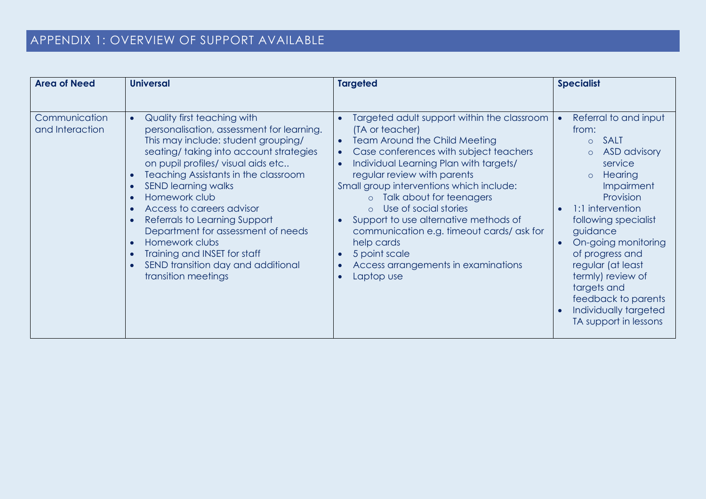| <b>Area of Need</b>              | <b>Universal</b>                                                                                                                                                                                                                                                                                                                                                                                                                                                                                          | <b>Targeted</b>                                                                                                                                                                                                                                                                                                                                                                                                                                                                                                                                                   | <b>Specialist</b>                                                                                                                                                                                                                                                                                                                                                                                        |
|----------------------------------|-----------------------------------------------------------------------------------------------------------------------------------------------------------------------------------------------------------------------------------------------------------------------------------------------------------------------------------------------------------------------------------------------------------------------------------------------------------------------------------------------------------|-------------------------------------------------------------------------------------------------------------------------------------------------------------------------------------------------------------------------------------------------------------------------------------------------------------------------------------------------------------------------------------------------------------------------------------------------------------------------------------------------------------------------------------------------------------------|----------------------------------------------------------------------------------------------------------------------------------------------------------------------------------------------------------------------------------------------------------------------------------------------------------------------------------------------------------------------------------------------------------|
|                                  |                                                                                                                                                                                                                                                                                                                                                                                                                                                                                                           |                                                                                                                                                                                                                                                                                                                                                                                                                                                                                                                                                                   |                                                                                                                                                                                                                                                                                                                                                                                                          |
| Communication<br>and Interaction | Quality first teaching with<br>personalisation, assessment for learning.<br>This may include: student grouping/<br>seating/taking into account strategies<br>on pupil profiles/ visual aids etc<br>Teaching Assistants in the classroom<br><b>SEND learning walks</b><br>Homework club<br>Access to careers advisor<br>Referrals to Learning Support<br>Department for assessment of needs<br>Homework clubs<br>Training and INSET for staff<br>SEND transition day and additional<br>transition meetings | Targeted adult support within the classroom<br>(TA or teacher)<br><b>Team Around the Child Meeting</b><br>$\bullet$<br>Case conferences with subject teachers<br>Individual Learning Plan with targets/<br>regular review with parents<br>Small group interventions which include:<br>Talk about for teenagers<br>$\circ$<br>Use of social stories<br>$\Omega$<br>Support to use alternative methods of<br>communication e.g. timeout cards/ask for<br>help cards<br>5 point scale<br>Access arrangements in examinations<br>$\bullet$<br>Laptop use<br>$\bullet$ | Referral to and input<br>from:<br><b>SALT</b><br>$\circ$<br><b>ASD</b> advisory<br>$\circ$<br>service<br><b>Hearing</b><br>$\circ$<br><b>Impairment</b><br>Provision<br>1:1 intervention<br>following specialist<br>guidance<br>On-going monitoring<br>of progress and<br>regular (at least<br>termly) review of<br>targets and<br>feedback to parents<br>Individually targeted<br>TA support in lessons |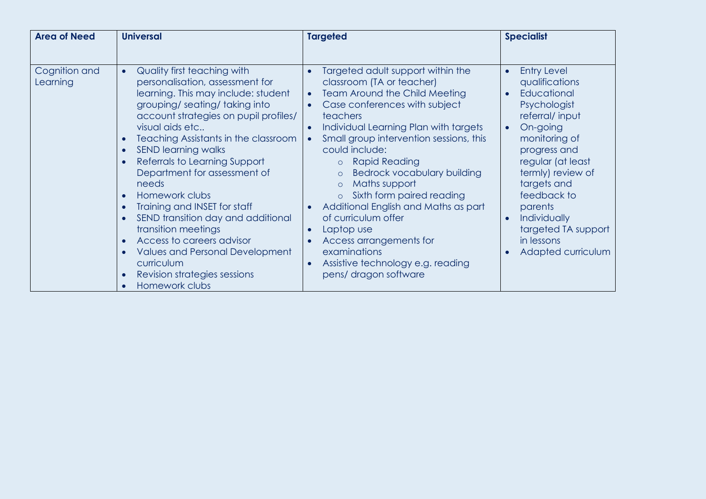| <b>Area of Need</b>       | <b>Universal</b>                                                                                                                                                                                                                                                                                                                                                                                                                                                                                                                                                                                                                        | <b>Targeted</b>                                                                                                                                                                                                                                                                                                                                                                                                                                                                                                                                                                                                     | <b>Specialist</b>                                                                                                                                                                                                                                                                                                                                                 |
|---------------------------|-----------------------------------------------------------------------------------------------------------------------------------------------------------------------------------------------------------------------------------------------------------------------------------------------------------------------------------------------------------------------------------------------------------------------------------------------------------------------------------------------------------------------------------------------------------------------------------------------------------------------------------------|---------------------------------------------------------------------------------------------------------------------------------------------------------------------------------------------------------------------------------------------------------------------------------------------------------------------------------------------------------------------------------------------------------------------------------------------------------------------------------------------------------------------------------------------------------------------------------------------------------------------|-------------------------------------------------------------------------------------------------------------------------------------------------------------------------------------------------------------------------------------------------------------------------------------------------------------------------------------------------------------------|
|                           |                                                                                                                                                                                                                                                                                                                                                                                                                                                                                                                                                                                                                                         |                                                                                                                                                                                                                                                                                                                                                                                                                                                                                                                                                                                                                     |                                                                                                                                                                                                                                                                                                                                                                   |
| Cognition and<br>Learning | Quality first teaching with<br>$\bullet$<br>personalisation, assessment for<br>learning. This may include: student<br>grouping/seating/taking into<br>account strategies on pupil profiles/<br>visual aids etc<br>Teaching Assistants in the classroom<br><b>SEND learning walks</b><br>$\bullet$<br>Referrals to Learning Support<br>Department for assessment of<br>needs<br>Homework clubs<br>Training and INSET for staff<br>SEND transition day and additional<br>transition meetings<br>Access to careers advisor<br>$\bullet$<br>Values and Personal Development<br>curriculum<br>Revision strategies sessions<br>Homework clubs | Targeted adult support within the<br>classroom (TA or teacher)<br>Team Around the Child Meeting<br>$\bullet$<br>Case conferences with subject<br>teachers<br>Individual Learning Plan with targets<br>Small group intervention sessions, this<br>could include:<br><b>Rapid Reading</b><br>$\circ$<br>Bedrock vocabulary building<br>$\circ$<br>Maths support<br>$\circ$<br>Sixth form paired reading<br>$\circ$<br>Additional English and Maths as part<br>of curriculum offer<br>Laptop use<br>Access arrangements for<br>examinations<br>Assistive technology e.g. reading<br>$\bullet$<br>pens/ dragon software | <b>Entry Level</b><br>$\bullet$<br>qualifications<br>Educational<br>$\bullet$<br>Psychologist<br>referral/input<br>On-going<br>$\bullet$<br>monitoring of<br>progress and<br>regular (at least<br>termly) review of<br>targets and<br>feedback to<br>parents<br>Individually<br>$\bullet$<br>targeted TA support<br>in lessons<br>Adapted curriculum<br>$\bullet$ |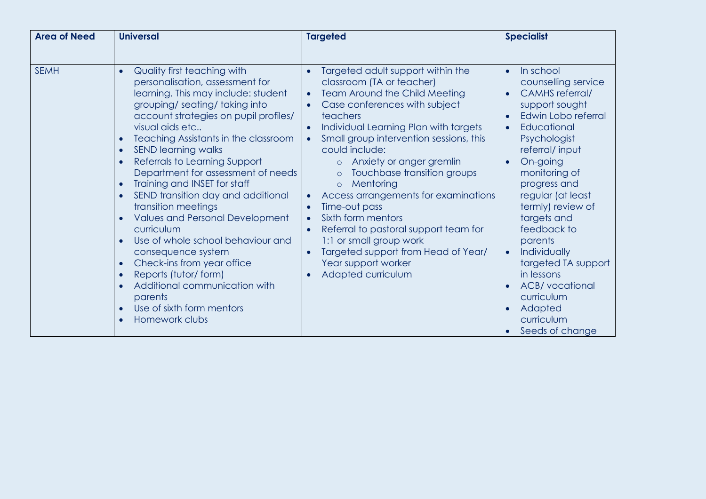| <b>Area of Need</b> | <b>Universal</b>                                                                                                                                                                                                                                                                                                                                                                                                                                                                                                                                                                                                                                                                                                                                                                                                                                               | <b>Targeted</b>                                                                                                                                                                                                                                                                                                                                                                                                                                                                                                                                                                                                                                                            | <b>Specialist</b>                                                                                                                                                                                                                                                                                                                                                                                                                                                                                           |
|---------------------|----------------------------------------------------------------------------------------------------------------------------------------------------------------------------------------------------------------------------------------------------------------------------------------------------------------------------------------------------------------------------------------------------------------------------------------------------------------------------------------------------------------------------------------------------------------------------------------------------------------------------------------------------------------------------------------------------------------------------------------------------------------------------------------------------------------------------------------------------------------|----------------------------------------------------------------------------------------------------------------------------------------------------------------------------------------------------------------------------------------------------------------------------------------------------------------------------------------------------------------------------------------------------------------------------------------------------------------------------------------------------------------------------------------------------------------------------------------------------------------------------------------------------------------------------|-------------------------------------------------------------------------------------------------------------------------------------------------------------------------------------------------------------------------------------------------------------------------------------------------------------------------------------------------------------------------------------------------------------------------------------------------------------------------------------------------------------|
|                     |                                                                                                                                                                                                                                                                                                                                                                                                                                                                                                                                                                                                                                                                                                                                                                                                                                                                |                                                                                                                                                                                                                                                                                                                                                                                                                                                                                                                                                                                                                                                                            |                                                                                                                                                                                                                                                                                                                                                                                                                                                                                                             |
| <b>SEMH</b>         | Quality first teaching with<br>$\bullet$<br>personalisation, assessment for<br>learning. This may include: student<br>grouping/seating/taking into<br>account strategies on pupil profiles/<br>visual aids etc<br>Teaching Assistants in the classroom<br>$\bullet$<br><b>SEND learning walks</b><br>$\bullet$<br>Referrals to Learning Support<br>$\bullet$<br>Department for assessment of needs<br>Training and INSET for staff<br>$\bullet$<br>SEND transition day and additional<br>$\bullet$<br>transition meetings<br><b>Values and Personal Development</b><br>curriculum<br>Use of whole school behaviour and<br>$\bullet$<br>consequence system<br>Check-ins from year office<br>$\bullet$<br>Reports (tutor/form)<br>$\bullet$<br>Additional communication with<br>$\bullet$<br>parents<br>Use of sixth form mentors<br>$\bullet$<br>Homework clubs | Targeted adult support within the<br>$\bullet$<br>classroom (TA or teacher)<br><b>Team Around the Child Meeting</b><br>$\bullet$<br>Case conferences with subject<br>$\bullet$<br>teachers<br>Individual Learning Plan with targets<br>Small group intervention sessions, this<br>could include:<br>Anxiety or anger gremlin<br>$\circ$<br>Touchbase transition groups<br>$\circ$<br>Mentoring<br>$\circ$<br>Access arrangements for examinations<br>$\bullet$<br>Time-out pass<br>Sixth form mentors<br>$\bullet$<br>Referral to pastoral support team for<br>1:1 or small group work<br>Targeted support from Head of Year/<br>Year support worker<br>Adapted curriculum | In school<br>$\bullet$<br>counselling service<br><b>CAMHS</b> referral/<br>$\bullet$<br>support sought<br>Edwin Lobo referral<br>$\bullet$<br>Educational<br>$\bullet$<br>Psychologist<br>referral/input<br>On-going<br>$\bullet$<br>monitoring of<br>progress and<br>regular (at least<br>termly) review of<br>targets and<br>feedback to<br>parents<br>Individually<br>$\bullet$<br>targeted TA support<br>in lessons<br><b>ACB/</b> vocational<br>curriculum<br>Adapted<br>curriculum<br>Seeds of change |